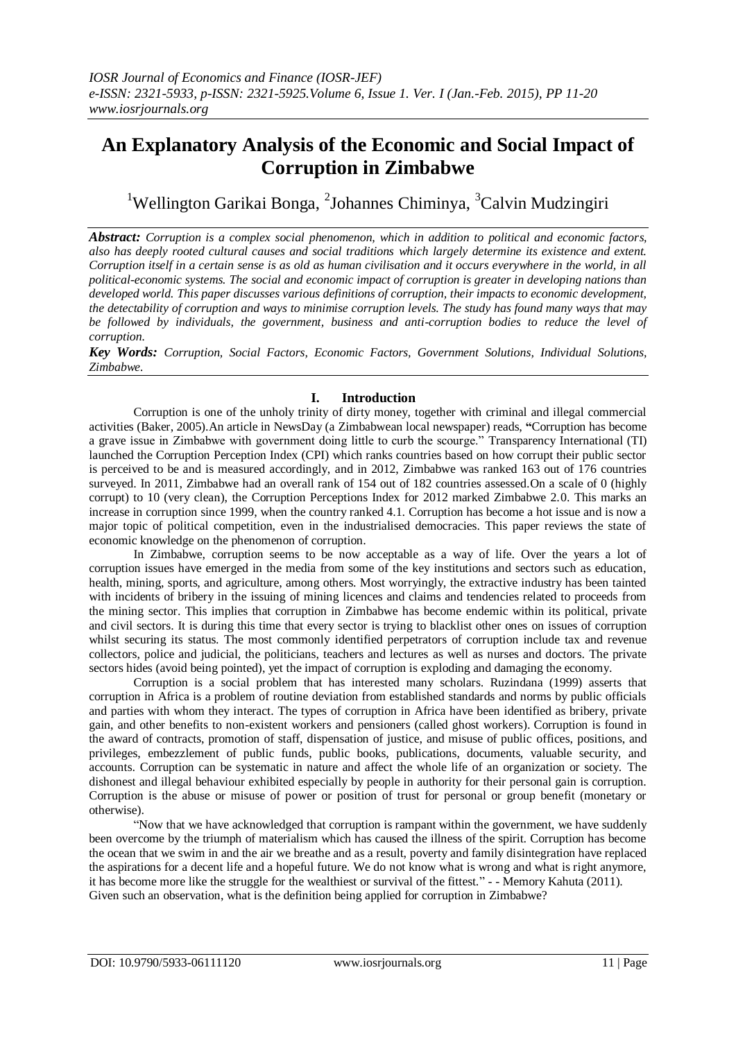# **An Explanatory Analysis of the Economic and Social Impact of Corruption in Zimbabwe**

<sup>1</sup>Wellington Garikai Bonga, <sup>2</sup>Johannes Chiminya, <sup>3</sup>Calvin Mudzingiri

*Abstract: Corruption is a complex social phenomenon, which in addition to political and economic factors, also has deeply rooted cultural causes and social traditions which largely determine its existence and extent. Corruption itself in a certain sense is as old as human civilisation and it occurs everywhere in the world, in all political-economic systems. The social and economic impact of corruption is greater in developing nations than developed world. This paper discusses various definitions of corruption, their impacts to economic development, the detectability of corruption and ways to minimise corruption levels. The study has found many ways that may be followed by individuals, the government, business and anti-corruption bodies to reduce the level of corruption.*

*Key Words: Corruption, Social Factors, Economic Factors, Government Solutions, Individual Solutions, Zimbabwe.*

## **I. Introduction**

Corruption is one of the unholy trinity of dirty money, together with criminal and illegal commercial activities (Baker, 2005).An article in NewsDay (a Zimbabwean local newspaper) reads, **"**Corruption has become a grave issue in Zimbabwe with government doing little to curb the scourge." Transparency International (TI) launched the Corruption Perception Index (CPI) which ranks countries based on how corrupt their public sector is perceived to be and is measured accordingly, and in 2012, Zimbabwe was ranked 163 out of 176 countries surveyed. In 2011, Zimbabwe had an overall rank of 154 out of 182 countries assessed. On a scale of 0 (highly corrupt) to 10 (very clean), the Corruption Perceptions Index for 2012 marked Zimbabwe 2.0. This marks an increase in corruption since 1999, when the country ranked 4.1. Corruption has become a hot issue and is now a major topic of political competition, even in the industrialised democracies. This paper reviews the state of economic knowledge on the phenomenon of corruption.

In Zimbabwe, corruption seems to be now acceptable as a way of life. Over the years a lot of corruption issues have emerged in the media from some of the key institutions and sectors such as education, health, mining, sports, and agriculture, among others. Most worryingly, the extractive industry has been tainted with incidents of bribery in the issuing of mining licences and claims and tendencies related to proceeds from the mining sector. This implies that corruption in Zimbabwe has become endemic within its political, private and civil sectors. It is during this time that every sector is trying to blacklist other ones on issues of corruption whilst securing its status. The most commonly identified perpetrators of corruption include tax and revenue collectors, police and judicial, the politicians, teachers and lectures as well as nurses and doctors. The private sectors hides (avoid being pointed), yet the impact of corruption is exploding and damaging the economy.

Corruption is a social problem that has interested many scholars. Ruzindana (1999) asserts that corruption in Africa is a problem of routine deviation from established standards and norms by public officials and parties with whom they interact. The types of corruption in Africa have been identified as bribery, private gain, and other benefits to non-existent workers and pensioners (called ghost workers). Corruption is found in the award of contracts, promotion of staff, dispensation of justice, and misuse of public offices, positions, and privileges, embezzlement of public funds, public books, publications, documents, valuable security, and accounts. Corruption can be systematic in nature and affect the whole life of an organization or society. The dishonest and illegal behaviour exhibited especially by people in authority for their personal gain is corruption. Corruption is the abuse or misuse of power or position of trust for personal or group benefit (monetary or otherwise).

"Now that we have acknowledged that corruption is rampant within the government, we have suddenly been overcome by the triumph of materialism which has caused the illness of the spirit. Corruption has become the ocean that we swim in and the air we breathe and as a result, poverty and family disintegration have replaced the aspirations for a decent life and a hopeful future. We do not know what is wrong and what is right anymore, it has become more like the struggle for the wealthiest or survival of the fittest." - - Memory Kahuta (2011). Given such an observation, what is the definition being applied for corruption in Zimbabwe?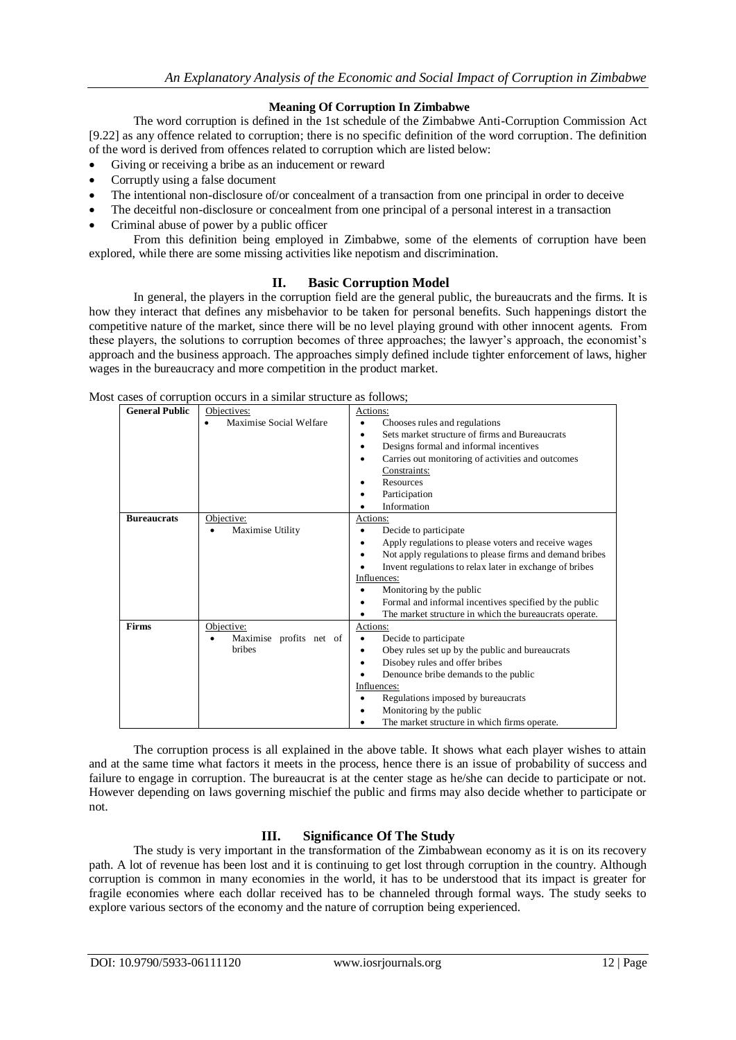## **Meaning Of Corruption In Zimbabwe**

The word corruption is defined in the 1st schedule of the Zimbabwe Anti-Corruption Commission Act [9.22] as any offence related to corruption; there is no specific definition of the word corruption. The definition of the word is derived from offences related to corruption which are listed below:

- Giving or receiving a bribe as an inducement or reward
- Corruptly using a false document
- The intentional non-disclosure of/or concealment of a transaction from one principal in order to deceive
- The deceitful non-disclosure or concealment from one principal of a personal interest in a transaction
- Criminal abuse of power by a public officer

From this definition being employed in Zimbabwe, some of the elements of corruption have been explored, while there are some missing activities like nepotism and discrimination.

#### **II. Basic Corruption Model**

In general, the players in the corruption field are the general public, the bureaucrats and the firms. It is how they interact that defines any misbehavior to be taken for personal benefits. Such happenings distort the competitive nature of the market, since there will be no level playing ground with other innocent agents. From these players, the solutions to corruption becomes of three approaches; the lawyer's approach, the economist's approach and the business approach. The approaches simply defined include tighter enforcement of laws, higher wages in the bureaucracy and more competition in the product market.

| <b>General Public</b> | Objectives:                  | Actions:                                                       |
|-----------------------|------------------------------|----------------------------------------------------------------|
|                       | Maximise Social Welfare      | Chooses rules and regulations                                  |
|                       |                              | Sets market structure of firms and Bureaucrats                 |
|                       |                              | Designs formal and informal incentives<br>$\bullet$            |
|                       |                              | Carries out monitoring of activities and outcomes<br>$\bullet$ |
|                       |                              | Constraints:                                                   |
|                       |                              | Resources                                                      |
|                       |                              | Participation                                                  |
|                       |                              | Information                                                    |
| <b>Bureaucrats</b>    | Objective:                   | Actions:                                                       |
|                       | Maximise Utility             | Decide to participate                                          |
|                       |                              | Apply regulations to please voters and receive wages           |
|                       |                              | Not apply regulations to please firms and demand bribes        |
|                       |                              | Invent regulations to relax later in exchange of bribes        |
|                       |                              | Influences:                                                    |
|                       |                              | Monitoring by the public                                       |
|                       |                              | Formal and informal incentives specified by the public         |
|                       |                              | The market structure in which the bureaucrats operate.         |
| <b>Firms</b>          | Objective:                   | Actions:                                                       |
|                       | Maximise profits net of<br>٠ | Decide to participate<br>$\bullet$                             |
|                       | <b>bribes</b>                | Obey rules set up by the public and bureaucrats                |
|                       |                              | Disobey rules and offer bribes                                 |
|                       |                              | Denounce bribe demands to the public                           |
|                       |                              | Influences:                                                    |
|                       |                              | Regulations imposed by bureaucrats                             |
|                       |                              | Monitoring by the public                                       |
|                       |                              | The market structure in which firms operate.                   |

Most cases of corruption occurs in a similar structure as follows;

The corruption process is all explained in the above table. It shows what each player wishes to attain and at the same time what factors it meets in the process, hence there is an issue of probability of success and failure to engage in corruption. The bureaucrat is at the center stage as he/she can decide to participate or not. However depending on laws governing mischief the public and firms may also decide whether to participate or not.

## **III. Significance Of The Study**

The study is very important in the transformation of the Zimbabwean economy as it is on its recovery path. A lot of revenue has been lost and it is continuing to get lost through corruption in the country. Although corruption is common in many economies in the world, it has to be understood that its impact is greater for fragile economies where each dollar received has to be channeled through formal ways. The study seeks to explore various sectors of the economy and the nature of corruption being experienced.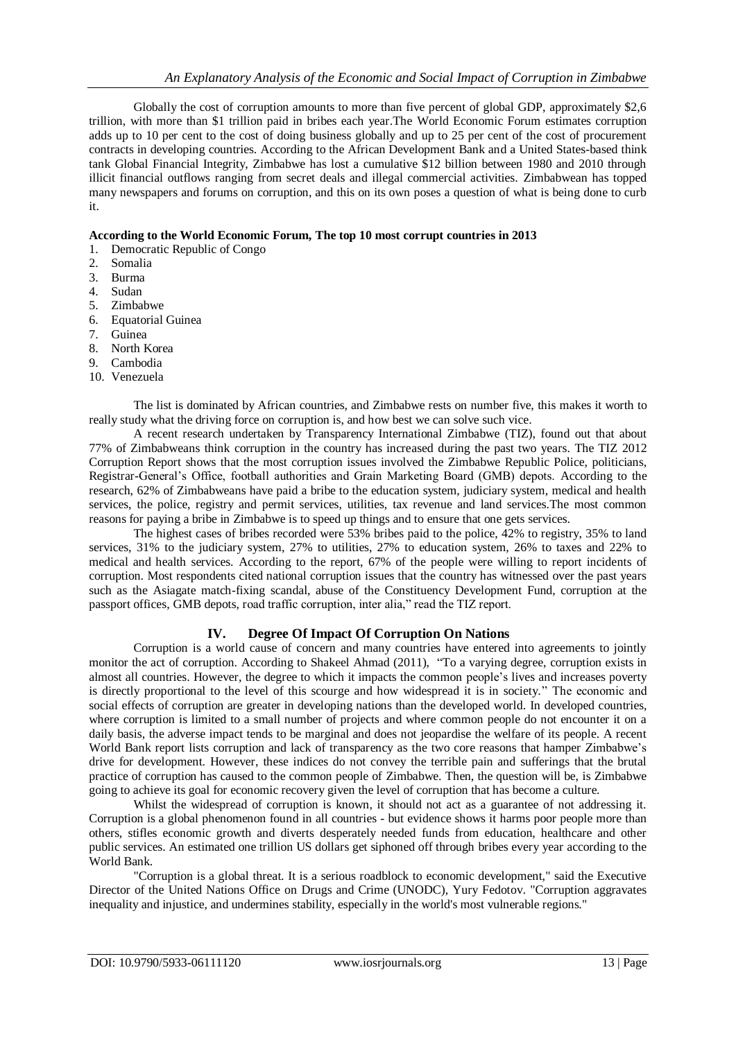Globally the cost of corruption amounts to more than five percent of global GDP, approximately \$2,6 trillion, with more than \$1 trillion paid in bribes each year.The [World Economic Forum](http://www.weforum.org/) estimates corruption adds up to 10 per cent to the cost of doing business globally and up to 25 per cent of the cost of procurement contracts in developing countries. According to the African Development Bank and a United States-based think tank Global Financial Integrity, Zimbabwe has lost a cumulative \$12 billion between 1980 and 2010 through illicit financial outflows ranging from secret deals and illegal commercial activities. Zimbabwean has topped many newspapers and forums on corruption, and this on its own poses a question of what is being done to curb it.

## **According to the World Economic Forum, The top 10 most corrupt countries in 2013**

- 1. Democratic Republic of Congo
- 2. Somalia
- 3. Burma
- 4. Sudan
- 5. Zimbabwe
- 6. Equatorial Guinea
- 7. Guinea
- 8. North Korea
- 9. Cambodia
- 10. Venezuela

The list is dominated by African countries, and Zimbabwe rests on number five, this makes it worth to really study what the driving force on corruption is, and how best we can solve such vice.

A recent research undertaken by Transparency International Zimbabwe (TIZ), found out that about 77% of Zimbabweans think corruption in the country has increased during the past two years. The TIZ 2012 Corruption Report shows that the most corruption issues involved the Zimbabwe Republic Police, politicians, Registrar-General's Office, football authorities and Grain Marketing Board (GMB) depots. According to the research, 62% of Zimbabweans have paid a bribe to the education system, judiciary system, medical and health services, the police, registry and permit services, utilities, tax revenue and land services.The most common reasons for paying a bribe in Zimbabwe is to speed up things and to ensure that one gets services.

The highest cases of bribes recorded were 53% bribes paid to the police, 42% to registry, 35% to land services, 31% to the judiciary system, 27% to utilities, 27% to education system, 26% to taxes and 22% to medical and health services. According to the report, 67% of the people were willing to report incidents of corruption. Most respondents cited national corruption issues that the country has witnessed over the past years such as the Asiagate match-fixing scandal, abuse of the Constituency Development Fund, corruption at the passport offices, GMB depots, road traffic corruption, inter alia," read the TIZ report.

## **IV. Degree Of Impact Of Corruption On Nations**

Corruption is a world cause of concern and many countries have entered into agreements to jointly monitor the act of corruption. According to [Shakeel Ahmad](http://www.nation.com.pk/pakistan-news-newspaper-daily-english-online/Columnist/shakeel-ahmad) (2011), "To a varying degree, corruption exists in almost all countries. However, the degree to which it impacts the common people's lives and increases poverty is directly proportional to the level of this scourge and how widespread it is in society." The economic and social effects of corruption are greater in developing nations than the developed world. In developed countries, where corruption is limited to a small number of projects and where common people do not encounter it on a daily basis, the adverse impact tends to be marginal and does not jeopardise the welfare of its people. A recent World Bank report lists corruption and lack of transparency as the two core reasons that hamper Zimbabwe's drive for development. However, these indices do not convey the terrible pain and sufferings that the brutal practice of corruption has caused to the common people of Zimbabwe. Then, the question will be, is Zimbabwe going to achieve its goal for economic recovery given the level of corruption that has become a culture.

Whilst the widespread of corruption is known, it should not act as a guarantee of not addressing it. Corruption is a global phenomenon found in all countries - but evidence shows it harms poor people more than others, stifles economic growth and diverts desperately needed funds from education, healthcare and other public services. An estimated one trillion US dollars get siphoned off through bribes every year according to the World Bank.

"Corruption is a global threat. It is a serious roadblock to economic development," said the Executive Director of the United Nations Office on Drugs and Crime (UNODC), Yury Fedotov. "Corruption aggravates inequality and injustice, and undermines stability, especially in the world's most vulnerable regions."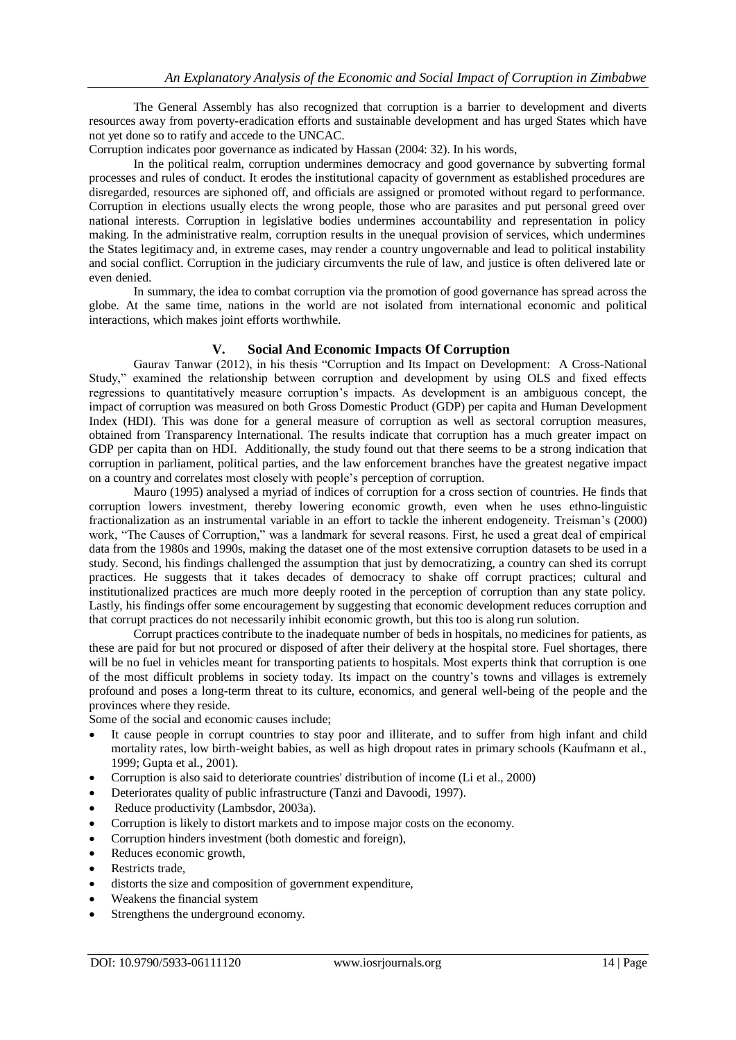The General Assembly has also recognized that corruption is a barrier to development and diverts resources away from poverty-eradication efforts and sustainable development and has urged States which have not yet done so to ratify and accede to the UNCAC.

Corruption indicates poor governance as indicated by Hassan (2004: 32). In his words,

In the political realm, corruption undermines democracy and good governance by subverting formal processes and rules of conduct. It erodes the institutional capacity of government as established procedures are disregarded, resources are siphoned off, and officials are assigned or promoted without regard to performance. Corruption in elections usually elects the wrong people, those who are parasites and put personal greed over national interests. Corruption in legislative bodies undermines accountability and representation in policy making. In the administrative realm, corruption results in the unequal provision of services, which undermines the States legitimacy and, in extreme cases, may render a country ungovernable and lead to political instability and social conflict. Corruption in the judiciary circumvents the rule of law, and justice is often delivered late or even denied.

In summary, the idea to combat corruption via the promotion of good governance has spread across the globe. At the same time, nations in the world are not isolated from international economic and political interactions, which makes joint efforts worthwhile.

#### **V. Social And Economic Impacts Of Corruption**

Gaurav Tanwar (2012), in his thesis "Corruption and Its Impact on Development: A Cross-National Study," examined the relationship between corruption and development by using OLS and fixed effects regressions to quantitatively measure corruption's impacts. As development is an ambiguous concept, the impact of corruption was measured on both Gross Domestic Product (GDP) per capita and Human Development Index (HDI). This was done for a general measure of corruption as well as sectoral corruption measures, obtained from Transparency International. The results indicate that corruption has a much greater impact on GDP per capita than on HDI. Additionally, the study found out that there seems to be a strong indication that corruption in parliament, political parties, and the law enforcement branches have the greatest negative impact on a country and correlates most closely with people's perception of corruption.

Mauro (1995) analysed a myriad of indices of corruption for a cross section of countries. He finds that corruption lowers investment, thereby lowering economic growth, even when he uses ethno-linguistic fractionalization as an instrumental variable in an effort to tackle the inherent endogeneity. Treisman's (2000) work, "The Causes of Corruption," was a landmark for several reasons. First, he used a great deal of empirical data from the 1980s and 1990s, making the dataset one of the most extensive corruption datasets to be used in a study. Second, his findings challenged the assumption that just by democratizing, a country can shed its corrupt practices. He suggests that it takes decades of democracy to shake off corrupt practices; cultural and institutionalized practices are much more deeply rooted in the perception of corruption than any state policy. Lastly, his findings offer some encouragement by suggesting that economic development reduces corruption and that corrupt practices do not necessarily inhibit economic growth, but this too is along run solution.

Corrupt practices contribute to the inadequate number of beds in hospitals, no medicines for patients, as these are paid for but not procured or disposed of after their delivery at the hospital store. Fuel shortages, there will be no fuel in vehicles meant for transporting patients to hospitals. Most experts think that corruption is one of the most difficult problems in society today. Its impact on the country's towns and villages is extremely profound and poses a long-term threat to its culture, economics, and general well-being of the people and the provinces where they reside.

Some of the social and economic causes include;

- It cause people in corrupt countries to stay poor and illiterate, and to suffer from high infant and child mortality rates, low birth-weight babies, as well as high dropout rates in primary schools (Kaufmann et al., 1999; Gupta et al., 2001).
- Corruption is also said to deteriorate countries' distribution of income (Li et al., 2000)
- Deteriorates quality of public infrastructure (Tanzi and Davoodi, 1997).
- Reduce productivity (Lambsdor, 2003a).
- Corruption is likely to distort markets and to impose major costs on the economy.
- Corruption hinders investment (both domestic and foreign),
- Reduces economic growth,
- Restricts trade,
- distorts the size and composition of government expenditure,
- Weakens the financial system
- Strengthens the underground economy.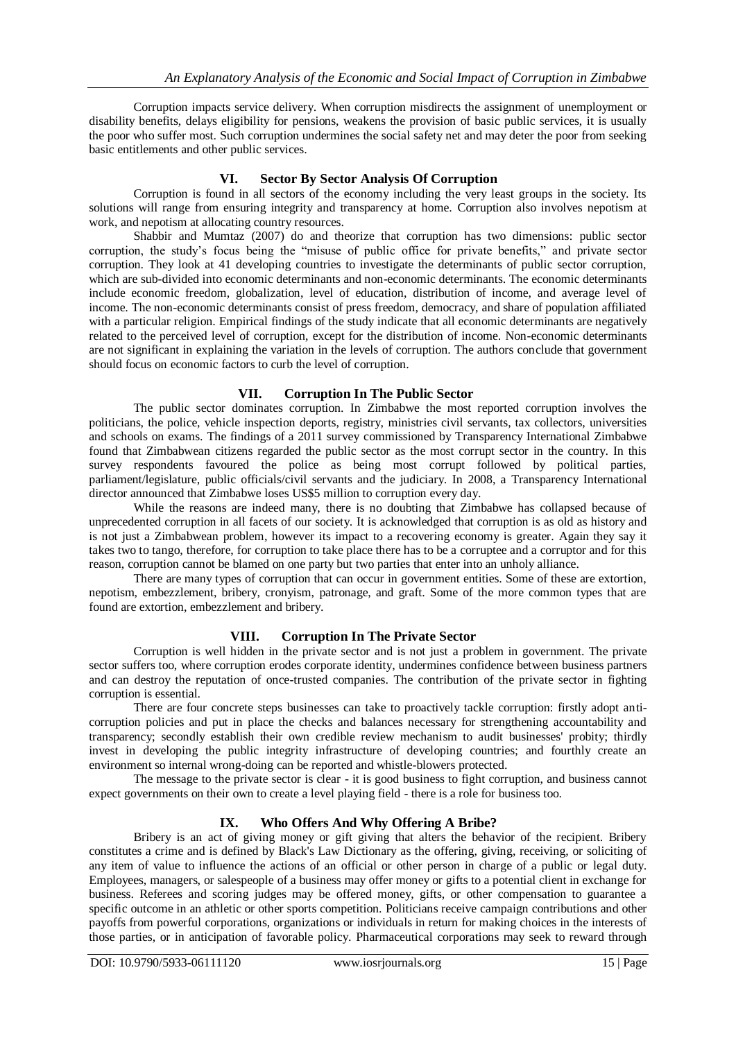Corruption impacts service delivery. When corruption misdirects the assignment of unemployment or disability benefits, delays eligibility for pensions, weakens the provision of basic public services, it is usually the poor who suffer most. Such corruption undermines the social safety net and may deter the poor from seeking basic entitlements and other public services.

## **VI. Sector By Sector Analysis Of Corruption**

Corruption is found in all sectors of the economy including the very least groups in the society. Its solutions will range from ensuring integrity and transparency at home. Corruption also involves nepotism at work, and nepotism at allocating country resources.

Shabbir and Mumtaz (2007) do and theorize that corruption has two dimensions: public sector corruption, the study's focus being the "misuse of public office for private benefits," and private sector corruption. They look at 41 developing countries to investigate the determinants of public sector corruption, which are sub-divided into economic determinants and non-economic determinants. The economic determinants include economic freedom, globalization, level of education, distribution of income, and average level of income. The non-economic determinants consist of press freedom, democracy, and share of population affiliated with a particular religion. Empirical findings of the study indicate that all economic determinants are negatively related to the perceived level of corruption, except for the distribution of income. Non-economic determinants are not significant in explaining the variation in the levels of corruption. The authors conclude that government should focus on economic factors to curb the level of corruption.

## **VII. Corruption In The Public Sector**

The public sector dominates corruption. In Zimbabwe the most reported corruption involves the politicians, the police, vehicle inspection deports, registry, ministries civil servants, tax collectors, universities and schools on exams. The findings of a 2011 survey commissioned by [Transparency International](http://en.wikipedia.org/wiki/Transparency_International) Zimbabwe found that Zimbabwean citizens regarded the public sector as the most corrupt sector in the country. In this survey respondents favoured the police as being most corrupt followed by political parties, parliament/legislature, public officials/civil servants and the judiciary. In 2008, a [Transparency International](http://en.wikipedia.org/wiki/Transparency_International) director announced that Zimbabwe loses US\$5 million to corruption every day.

While the reasons are indeed many, there is no doubting that Zimbabwe has collapsed because of unprecedented corruption in all facets of our society. It is acknowledged that corruption is as old as history and is not just a Zimbabwean problem, however its impact to a recovering economy is greater. Again they say it takes two to tango, therefore, for corruption to take place there has to be a corruptee and a corruptor and for this reason, corruption cannot be blamed on one party but two parties that enter into an unholy alliance.

There are many types of corruption that can occur in government entities. Some of these are extortion, nepotism, embezzlement, bribery, cronyism, patronage, and graft. Some of the more common types that are found are extortion, embezzlement and bribery.

## **VIII. Corruption In The Private Sector**

Corruption is well hidden in the private sector and is not just a problem in government. The private sector suffers too, where corruption erodes corporate identity, undermines confidence between business partners and can destroy the reputation of once-trusted companies. The contribution of the private sector in fighting corruption is essential.

There are four concrete steps businesses can take to proactively tackle corruption: firstly adopt anticorruption policies and put in place the checks and balances necessary for strengthening accountability and transparency; secondly establish their own credible review mechanism to audit businesses' probity; thirdly invest in developing the public integrity infrastructure of developing countries; and fourthly create an environment so internal wrong-doing can be reported and whistle-blowers protected.

The message to the private sector is clear - it is good business to fight corruption, and business cannot expect governments on their own to create a level playing field - there is a role for business too.

## **IX. Who Offers And Why Offering A Bribe?**

Bribery is an act of giving money or gift giving that alters the behavior of the recipient. Bribery constitutes a crime and is defined by [Black's Law Dictionary](http://en.wikipedia.org/wiki/Black%27s_Law_Dictionary) as the [offering,](http://en.wikipedia.org/wiki/Offer_and_acceptance) [giving,](http://en.wikipedia.org/wiki/Gift) [receiving,](http://en.wikipedia.org/wiki/Offer_and_acceptance) or [soliciting](http://en.wikipedia.org/wiki/Solicitation) of any item of value to influence the actions of an official or other person in charge of a public or [legal](http://en.wikipedia.org/wiki/Legal) [duty.](http://en.wikipedia.org/wiki/Duty) Employees, managers, or salespeople of a business may offer money or gifts to a potential client in exchange for business. [Referees](http://en.wikipedia.org/wiki/Referee) and scoring judges may be offered money, gifts, or other compensation to guarantee a specific outcome in an athletic or other sports competition. [Politicians](http://en.wikipedia.org/wiki/Politician) receive [campaign contributions](http://en.wikipedia.org/wiki/Campaign_contribution) and other payoffs from powerful [corporations,](http://en.wikipedia.org/wiki/Corporation) organizations or individuals in return for making choices in the interests of those parties, or in anticipation of favorable [policy.](http://en.wikipedia.org/wiki/Policy) [Pharmaceutical](http://en.wikipedia.org/wiki/Pharmaceutical) [corporations](http://en.wikipedia.org/wiki/Corporation) may seek to reward through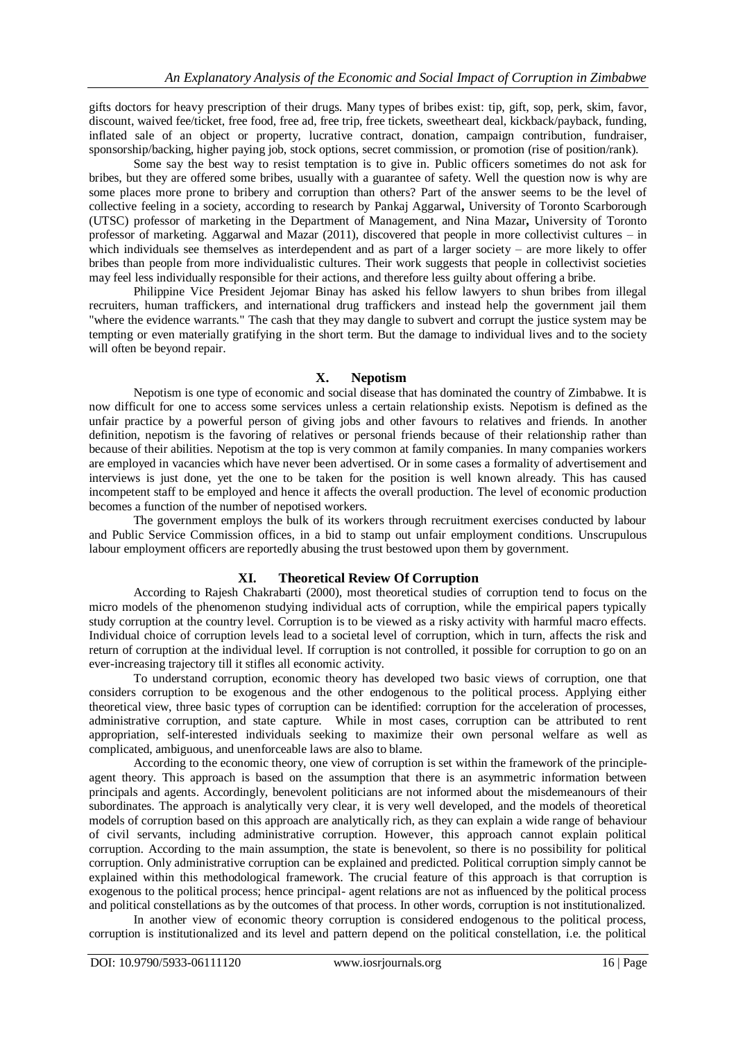gifts [doctors](http://en.wikipedia.org/wiki/Physician) for heavy prescription of their [drugs.](http://en.wikipedia.org/wiki/Medication) Many types of bribes exist: [tip,](http://en.wikipedia.org/wiki/Gratuity) [gift,](http://en.wikipedia.org/wiki/Gift) [sop,](http://en.wikipedia.org/wiki/Sop) [perk,](http://en.wikipedia.org/wiki/Employee_benefit) [skim,](http://en.wikipedia.org/wiki/Price_skimming) favor, [discount,](http://en.wikipedia.org/wiki/Discounts_and_allowances) [waived](http://en.wikipedia.org/wiki/Waived) fee/ticket, free food, free ad, free trip, free tickets, [sweetheart deal,](http://en.wikipedia.org/wiki/Sweetheart_deal) [kickback/payback,](http://en.wikipedia.org/wiki/Kickback_(bribery)) [funding,](http://en.wikipedia.org/wiki/Funding) inflated sale of an object or property, lucrative contract, [donation,](http://en.wikipedia.org/wiki/Donation) [campaign contribution,](http://en.wikipedia.org/wiki/Campaign_contribution) [fundraiser,](http://en.wikipedia.org/wiki/Fundraiser) [sponsorship/](http://en.wikipedia.org/wiki/Sponsorship)backing, higher paying job, [stock options,](http://en.wikipedia.org/wiki/Stock_options) [secret commission,](http://en.wikipedia.org/wiki/Secret_commission) or [promotion](http://en.wikipedia.org/wiki/Promotion_(rank)) (rise of position/rank).

Some say the best way to resist temptation is to give in. Public officers sometimes do not ask for bribes, but they are offered some bribes, usually with a guarantee of safety. Well the question now is why are some places more prone to bribery and corruption than others? Part of the answer seems to be the level of collective feeling in a society, according to research by Pankaj Aggarwal**,** University of Toronto Scarborough (UTSC) professor of marketing in the Department of Management, and Nina Mazar**,** University of Toronto professor of marketing. Aggarwal and Mazar (2011), discovered that people in more collectivist cultures – in which individuals see themselves as interdependent and as part of a larger society – are more likely to offer bribes than people from more individualistic cultures. Their work suggests that people in collectivist societies may feel less individually responsible for their actions, and therefore less guilty about offering a bribe.

Philippine Vice President Jejomar Binay has asked his fellow lawyers to shun bribes from illegal recruiters, human traffickers, and international drug traffickers and instead help the government jail them "where the evidence warrants." The cash that they may dangle to subvert and corrupt the justice system may be tempting or even materially gratifying in the short term. But the damage to individual lives and to the society will often be beyond repair.

#### **X. Nepotism**

Nepotism is one type of economic and social disease that has dominated the country of Zimbabwe. It is now difficult for one to access some services unless a certain relationship exists. Nepotism is defined as the unfair practice by a powerful person of giving jobs and other favours to relatives and friends. In another definition, nepotism is the [favoring](http://en.wiktionary.org/wiki/favor) of [relatives](http://en.wiktionary.org/wiki/relative) or personal friends because of their [relationship](http://en.wiktionary.org/wiki/relationship) rather than because of their abilities. Nepotism at the top is very common at family companies. In many companies workers are employed in vacancies which have never been advertised. Or in some cases a formality of advertisement and interviews is just done, yet the one to be taken for the position is well known already. This has caused incompetent staff to be employed and hence it affects the overall production. The level of economic production becomes a function of the number of nepotised workers.

The government employs the bulk of its workers through recruitment exercises conducted by labour and Public Service Commission offices, in a bid to stamp out unfair employment conditions. Unscrupulous labour employment officers are reportedly abusing the trust bestowed upon them by government.

#### **XI. Theoretical Review Of Corruption**

According to Rajesh Chakrabarti (2000), most theoretical studies of corruption tend to focus on the micro models of the phenomenon studying individual acts of corruption, while the empirical papers typically study corruption at the country level. Corruption is to be viewed as a risky activity with harmful macro effects. Individual choice of corruption levels lead to a societal level of corruption, which in turn, affects the risk and return of corruption at the individual level. If corruption is not controlled, it possible for corruption to go on an ever-increasing trajectory till it stifles all economic activity.

To understand corruption, economic theory has developed two basic views of corruption, one that considers corruption to be exogenous and the other endogenous to the political process. Applying either theoretical view, three basic types of corruption can be identified: corruption for the acceleration of processes, administrative corruption, and state capture. While in most cases, corruption can be attributed to rent appropriation, self-interested individuals seeking to maximize their own personal welfare as well as complicated, ambiguous, and unenforceable laws are also to blame.

According to the economic theory, one view of corruption is set within the framework of the principleagent theory. This approach is based on the assumption that there is an asymmetric information between principals and agents. Accordingly, benevolent politicians are not informed about the misdemeanours of their subordinates. The approach is analytically very clear, it is very well developed, and the models of theoretical models of corruption based on this approach are analytically rich, as they can explain a wide range of behaviour of civil servants, including administrative corruption. However, this approach cannot explain political corruption. According to the main assumption, the state is benevolent, so there is no possibility for political corruption. Only administrative corruption can be explained and predicted. Political corruption simply cannot be explained within this methodological framework. The crucial feature of this approach is that corruption is exogenous to the political process; hence principal- agent relations are not as influenced by the political process and political constellations as by the outcomes of that process. In other words, corruption is not institutionalized.

In another view of economic theory corruption is considered endogenous to the political process, corruption is institutionalized and its level and pattern depend on the political constellation, i.e. the political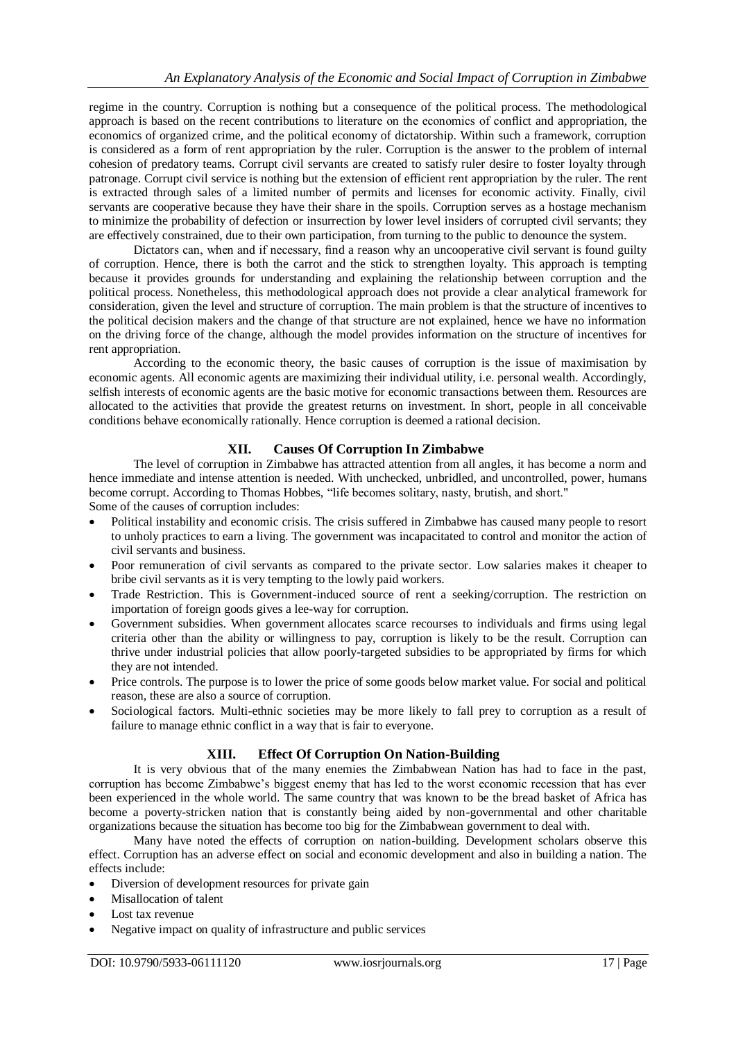regime in the country. Corruption is nothing but a consequence of the political process. The methodological approach is based on the recent contributions to literature on the economics of conflict and appropriation, the economics of organized crime, and the political economy of dictatorship. Within such a framework, corruption is considered as a form of rent appropriation by the ruler. Corruption is the answer to the problem of internal cohesion of predatory teams. Corrupt civil servants are created to satisfy ruler desire to foster loyalty through patronage. Corrupt civil service is nothing but the extension of efficient rent appropriation by the ruler. The rent is extracted through sales of a limited number of permits and licenses for economic activity. Finally, civil servants are cooperative because they have their share in the spoils. Corruption serves as a hostage mechanism to minimize the probability of defection or insurrection by lower level insiders of corrupted civil servants; they are effectively constrained, due to their own participation, from turning to the public to denounce the system.

Dictators can, when and if necessary, find a reason why an uncooperative civil servant is found guilty of corruption. Hence, there is both the carrot and the stick to strengthen loyalty. This approach is tempting because it provides grounds for understanding and explaining the relationship between corruption and the political process. Nonetheless, this methodological approach does not provide a clear analytical framework for consideration, given the level and structure of corruption. The main problem is that the structure of incentives to the political decision makers and the change of that structure are not explained, hence we have no information on the driving force of the change, although the model provides information on the structure of incentives for rent appropriation.

According to the economic theory, the basic causes of corruption is the issue of maximisation by economic agents. All economic agents are maximizing their individual utility, i.e. personal wealth. Accordingly, selfish interests of economic agents are the basic motive for economic transactions between them. Resources are allocated to the activities that provide the greatest returns on investment. In short, people in all conceivable conditions behave economically rationally. Hence corruption is deemed a rational decision.

## **XII. Causes Of Corruption In Zimbabwe**

The level of corruption in Zimbabwe has attracted attention from all angles, it has become a norm and hence immediate and intense attention is needed. With unchecked, unbridled, and uncontrolled, power, humans become corrupt. According to Thomas Hobbes, "life becomes solitary, nasty, brutish, and short." Some of the causes of corruption includes:

- Political instability and economic crisis. The crisis suffered in Zimbabwe has caused many people to resort to unholy practices to earn a living. The government was incapacitated to control and monitor the action of civil servants and business.
- Poor remuneration of civil servants as compared to the private sector. Low salaries makes it cheaper to bribe civil servants as it is very tempting to the lowly paid workers.
- Trade Restriction. This is Government-induced source of rent a seeking/corruption. The restriction on importation of foreign goods gives a lee-way for corruption.
- Government subsidies. When government allocates scarce recourses to individuals and firms using legal criteria other than the ability or willingness to pay, corruption is likely to be the result. Corruption can thrive under industrial policies that allow poorly-targeted subsidies to be appropriated by firms for which they are not intended.
- Price controls. The purpose is to lower the price of some goods below market value. For social and political reason, these are also a source of corruption.
- Sociological factors. Multi-ethnic societies may be more likely to fall prey to corruption as a result of failure to manage ethnic conflict in a way that is fair to everyone.

## **XIII. Effect Of Corruption On Nation-Building**

It is very obvious that of the many enemies the Zimbabwean Nation has had to face in the past, corruption has become Zimbabwe's biggest enemy that has led to the worst economic recession that has ever been experienced in the whole world. The same country that was known to be the bread basket of Africa has become a poverty-stricken nation that is constantly being aided by non-governmental and other charitable organizations because the situation has become too big for the Zimbabwean government to deal with.

Many have noted the effects of corruption on nation-building. Development scholars observe this effect. Corruption has an adverse effect on social and economic development and also in building a nation. The effects include:

- Diversion of development resources for private gain
- Misallocation of talent
- Lost tax revenue
- Negative impact on quality of infrastructure and public services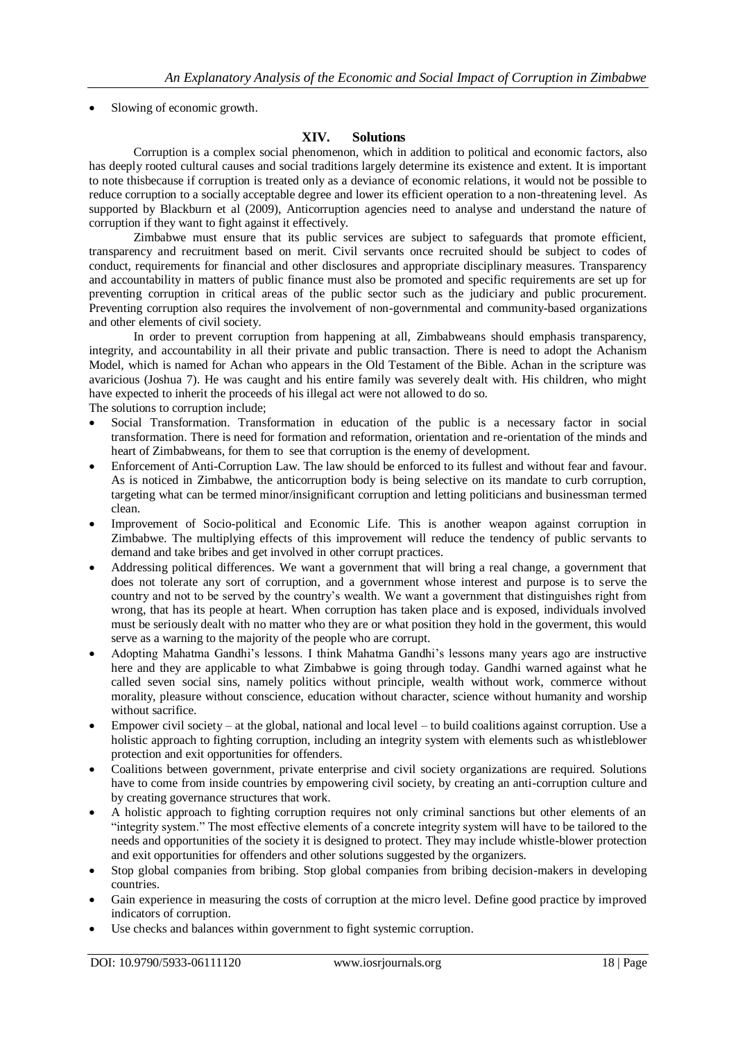• Slowing of economic growth.

## **XIV. Solutions**

Corruption is a complex social phenomenon, which in addition to political and economic factors, also has deeply rooted cultural causes and social traditions largely determine its existence and extent. It is important to note thisbecause if corruption is treated only as a deviance of economic relations, it would not be possible to reduce corruption to a socially acceptable degree and lower its efficient operation to a non-threatening level. As supported by Blackburn et al (2009), Anticorruption agencies need to analyse and understand the nature of corruption if they want to fight against it effectively.

Zimbabwe must ensure that its public services are subject to safeguards that promote efficient, transparency and recruitment based on merit. Civil servants once recruited should be subject to codes of conduct, requirements for financial and other disclosures and appropriate disciplinary measures. Transparency and accountability in matters of public finance must also be promoted and specific requirements are set up for preventing corruption in critical areas of the public sector such as the judiciary and public procurement. Preventing corruption also requires the involvement of non-governmental and community-based organizations and other elements of civil society.

In order to prevent corruption from happening at all, Zimbabweans should emphasis transparency, integrity, and accountability in all their private and public transaction. There is need to adopt the Achanism Model, which is named for Achan who appears in the Old Testament of the Bible. Achan in the scripture was avaricious (Joshua 7). He was caught and his entire family was severely dealt with. His children, who might have expected to inherit the proceeds of his illegal act were not allowed to do so. The solutions to corruption include;

- Social Transformation. Transformation in education of the public is a necessary factor in social transformation. There is need for formation and reformation, orientation and re-orientation of the minds and heart of Zimbabweans, for them to see that corruption is the enemy of development.
- Enforcement of Anti-Corruption Law. The law should be enforced to its fullest and without fear and favour. As is noticed in Zimbabwe, the anticorruption body is being selective on its mandate to curb corruption, targeting what can be termed minor/insignificant corruption and letting politicians and businessman termed clean.
- Improvement of Socio-political and Economic Life. This is another weapon against corruption in Zimbabwe. The multiplying effects of this improvement will reduce the tendency of public servants to demand and take bribes and get involved in other corrupt practices.
- Addressing political differences. We want a government that will bring a real change, a government that does not tolerate any sort of corruption, and a government whose interest and purpose is to serve the country and not to be served by the country's wealth. We want a government that distinguishes right from wrong, that has its people at heart. When corruption has taken place and is exposed, individuals involved must be seriously dealt with no matter who they are or what position they hold in the goverment, this would serve as a warning to the majority of the people who are corrupt.
- Adopting Mahatma Gandhi's lessons. I think Mahatma Gandhi's lessons many years ago are instructive here and they are applicable to what Zimbabwe is going through today. Gandhi warned against what he called seven social sins, namely politics without principle, wealth without work, commerce without morality, pleasure without conscience, education without character, science without humanity and worship without sacrifice.
- Empower civil society at the global, national and local level to build coalitions against corruption. Use a holistic approach to fighting corruption, including an integrity system with elements such as whistleblower protection and exit opportunities for offenders.
- Coalitions between government, private enterprise and civil society organizations are required. Solutions have to come from inside countries by empowering civil society, by creating an anti-corruption culture and by creating governance structures that work.
- A holistic approach to fighting corruption requires not only criminal sanctions but other elements of an "integrity system." The most effective elements of a concrete integrity system will have to be tailored to the needs and opportunities of the society it is designed to protect. They may include whistle-blower protection and exit opportunities for offenders and other solutions suggested by the organizers.
- Stop global companies from bribing. Stop global companies from bribing decision-makers in developing countries.
- Gain experience in measuring the costs of corruption at the micro level. Define good practice by improved indicators of corruption.
- Use checks and balances within government to fight systemic corruption.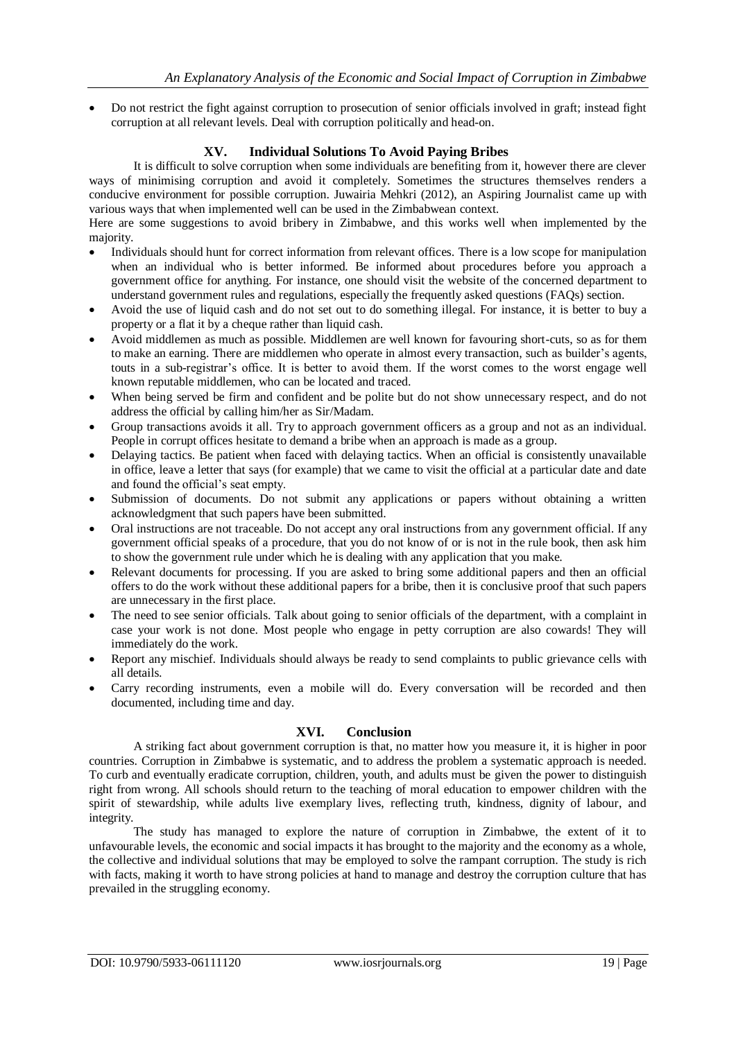Do not restrict the fight against corruption to prosecution of senior officials involved in graft; instead fight corruption at all relevant levels. Deal with corruption politically and head-on.

## **XV. Individual Solutions To Avoid Paying Bribes**

It is difficult to solve corruption when some individuals are benefiting from it, however there are clever ways of minimising corruption and avoid it completely. Sometimes the structures themselves renders a conducive environment for possible corruption. Juwairia Mehkri (2012), an Aspiring Journalist came up with various ways that when implemented well can be used in the Zimbabwean context.

Here are some suggestions to avoid bribery in Zimbabwe, and this works well when implemented by the majority.

- Individuals should hunt for correct information from relevant offices. There is a low scope for manipulation when an individual who is better informed. Be informed about procedures before you approach a government office for anything. For instance, one should visit the website of the concerned department to understand government rules and regulations, especially the frequently asked questions (FAQs) section.
- Avoid the use of liquid cash and do not set out to do something illegal. For instance, it is better to buy a property or a flat it by a cheque rather than liquid cash.
- Avoid middlemen as much as possible. Middlemen are well known for favouring short-cuts, so as for them to make an earning. There are middlemen who operate in almost every transaction, such as builder's agents, touts in a sub-registrar's office. It is better to avoid them. If the worst comes to the worst engage well known reputable middlemen, who can be located and traced.
- When being served be firm and confident and be polite but do not show unnecessary respect, and do not address the official by calling him/her as Sir/Madam.
- Group transactions avoids it all. Try to approach government officers as a group and not as an individual. People in corrupt offices hesitate to demand a bribe when an approach is made as a group.
- Delaying tactics. Be patient when faced with delaying tactics. When an official is consistently unavailable in office, leave a letter that says (for example) that we came to visit the official at a particular date and date and found the official's seat empty.
- Submission of documents. Do not submit any applications or papers without obtaining a written acknowledgment that such papers have been submitted.
- Oral instructions are not traceable. Do not accept any oral instructions from any government official. If any government official speaks of a procedure, that you do not know of or is not in the rule book, then ask him to show the government rule under which he is dealing with any application that you make.
- Relevant documents for processing. If you are asked to bring some additional papers and then an official offers to do the work without these additional papers for a bribe, then it is conclusive proof that such papers are unnecessary in the first place.
- The need to see senior officials. Talk about going to senior officials of the department, with a complaint in case your work is not done. Most people who engage in petty corruption are also cowards! They will immediately do the work.
- Report any mischief. Individuals should always be ready to send complaints to public grievance cells with all details.
- Carry recording instruments, even a mobile will do. Every conversation will be recorded and then documented, including time and day.

## **XVI. Conclusion**

A striking fact about government corruption is that, no matter how you measure it, it is higher in poor countries. Corruption in Zimbabwe is systematic, and to address the problem a systematic approach is needed. To curb and eventually eradicate corruption, children, youth, and adults must be given the power to distinguish right from wrong. All schools should return to the teaching of moral education to empower children with the spirit of stewardship, while adults live exemplary lives, reflecting truth, kindness, dignity of labour, and integrity.

The study has managed to explore the nature of corruption in Zimbabwe, the extent of it to unfavourable levels, the economic and social impacts it has brought to the majority and the economy as a whole, the collective and individual solutions that may be employed to solve the rampant corruption. The study is rich with facts, making it worth to have strong policies at hand to manage and destroy the corruption culture that has prevailed in the struggling economy.